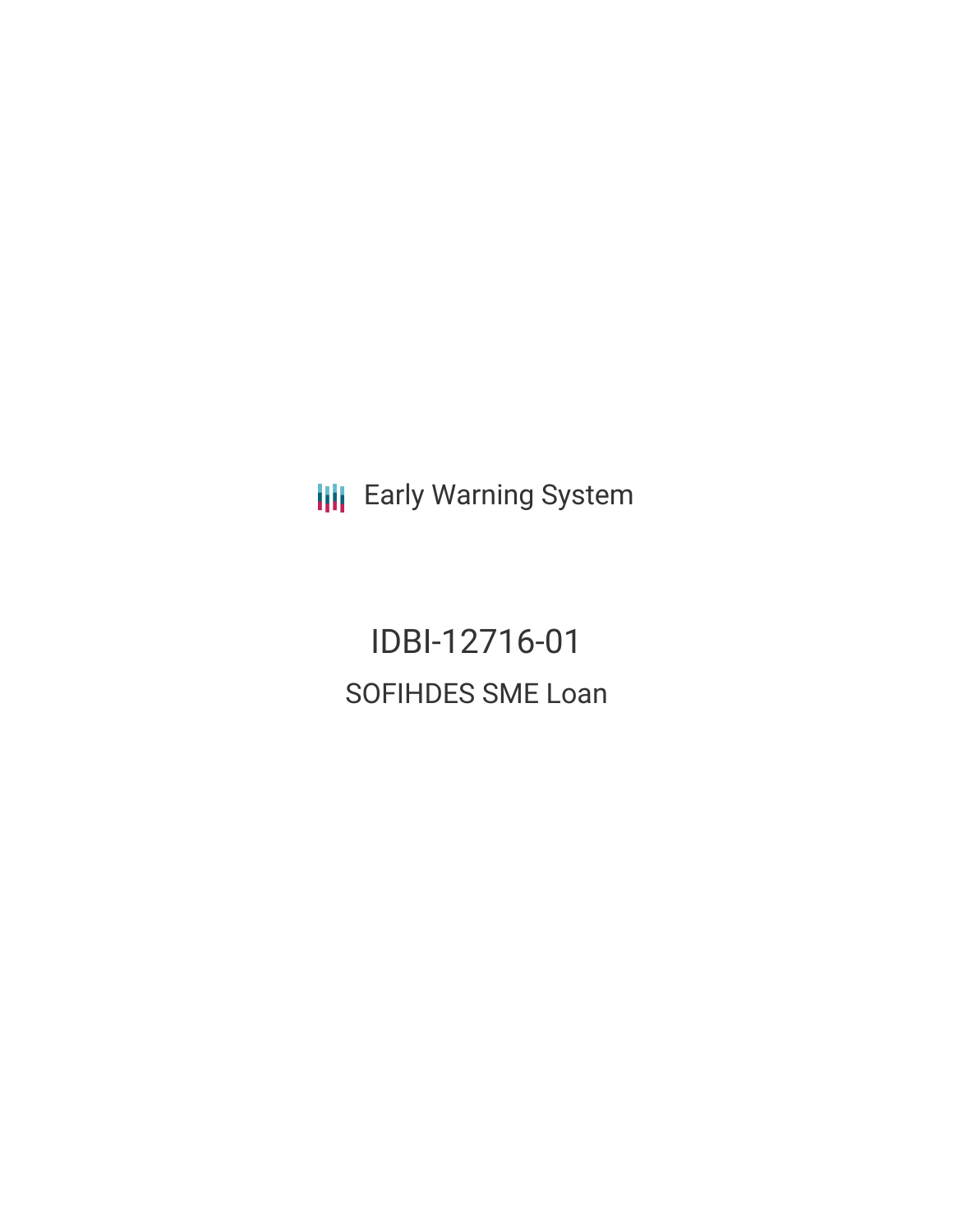**III** Early Warning System

IDBI-12716-01 SOFIHDES SME Loan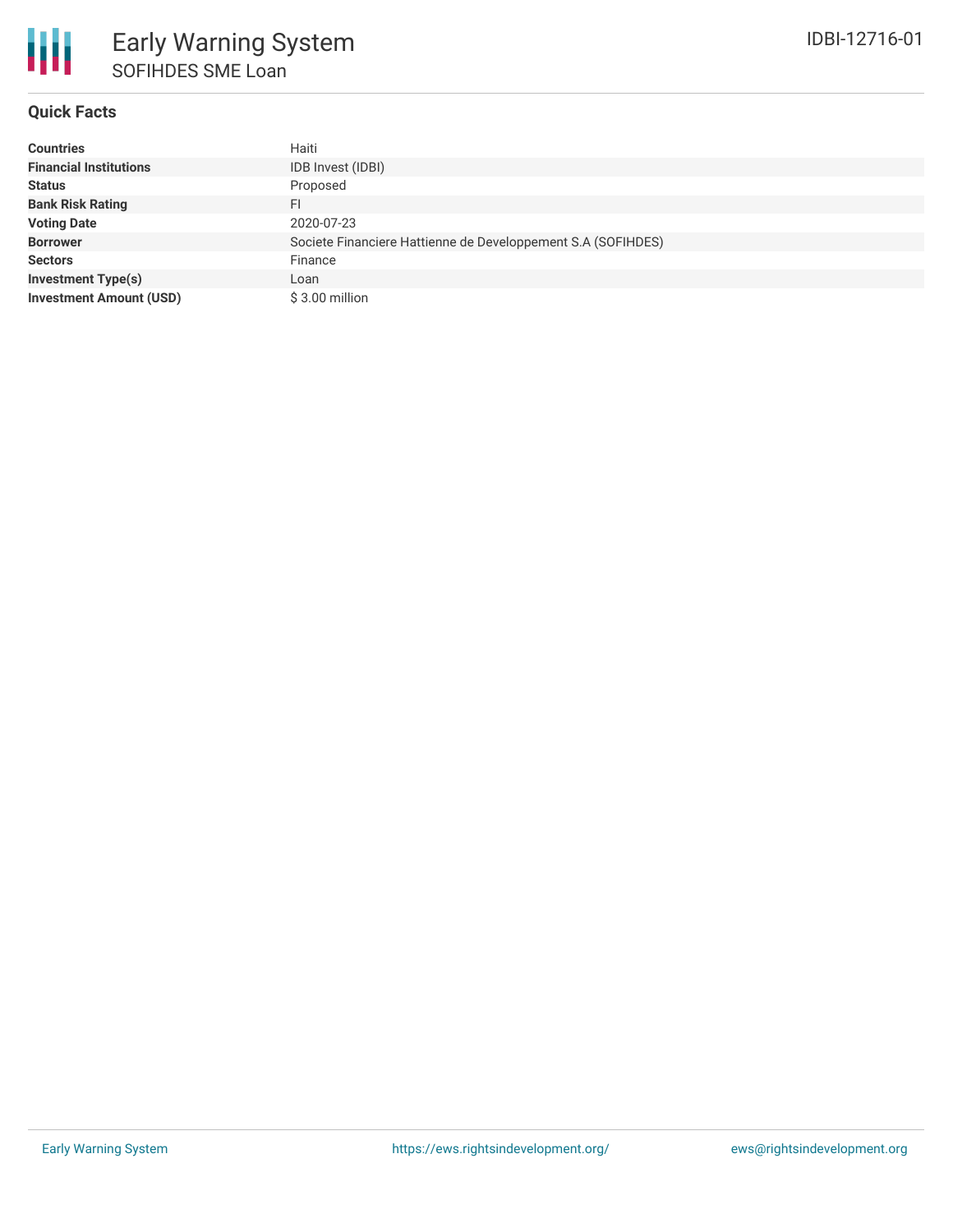### **Quick Facts**

| <b>Countries</b>               | Haiti                                                        |
|--------------------------------|--------------------------------------------------------------|
| <b>Financial Institutions</b>  | IDB Invest (IDBI)                                            |
| <b>Status</b>                  | Proposed                                                     |
| <b>Bank Risk Rating</b>        | FI                                                           |
| <b>Voting Date</b>             | 2020-07-23                                                   |
| <b>Borrower</b>                | Societe Financiere Hattienne de Developpement S.A (SOFIHDES) |
| <b>Sectors</b>                 | Finance                                                      |
| <b>Investment Type(s)</b>      | Loan                                                         |
| <b>Investment Amount (USD)</b> | $$3.00$ million                                              |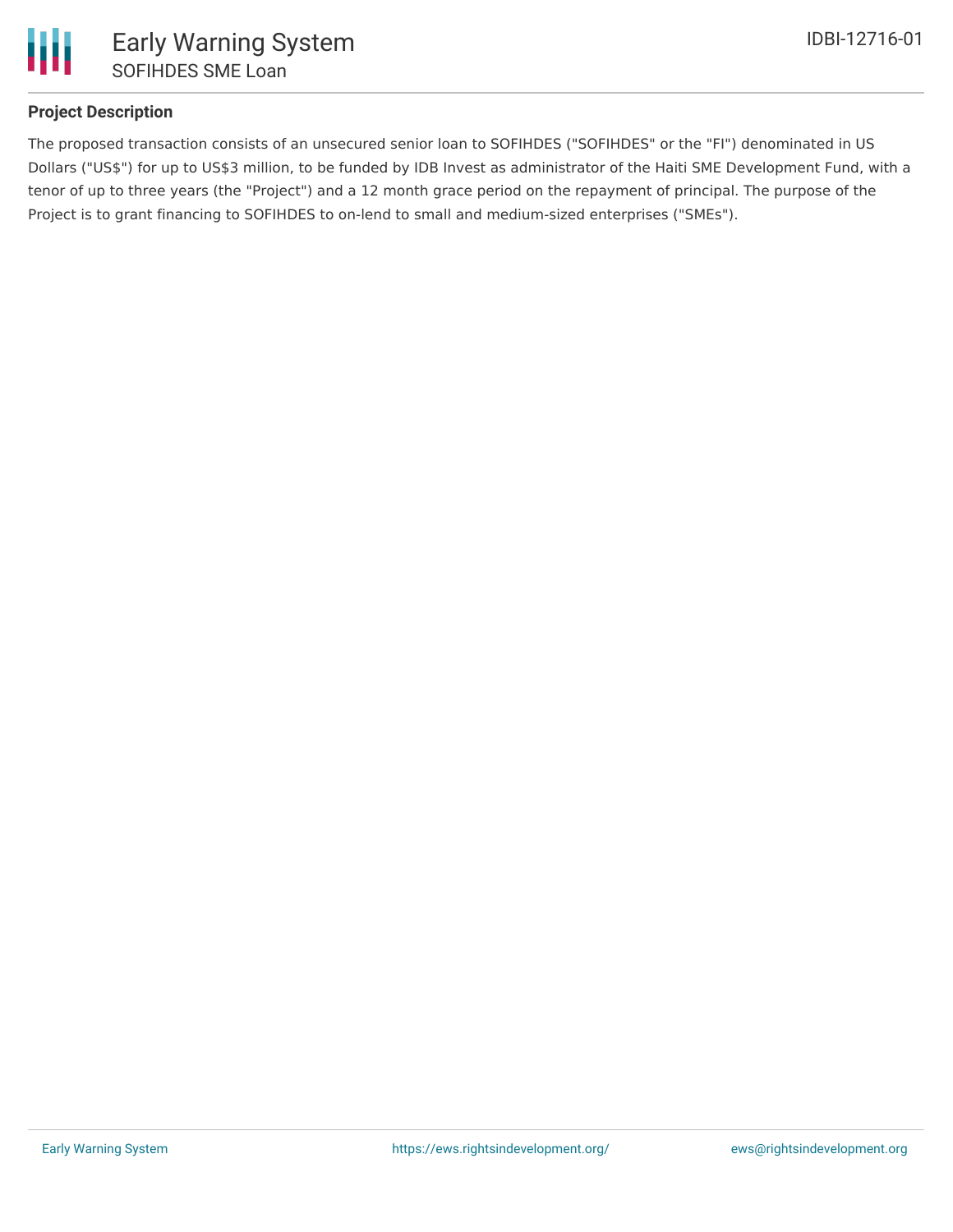

### **Project Description**

The proposed transaction consists of an unsecured senior loan to SOFIHDES ("SOFIHDES" or the "FI") denominated in US Dollars ("US\$") for up to US\$3 million, to be funded by IDB Invest as administrator of the Haiti SME Development Fund, with a tenor of up to three years (the "Project") and a 12 month grace period on the repayment of principal. The purpose of the Project is to grant financing to SOFIHDES to on-lend to small and medium-sized enterprises ("SMEs").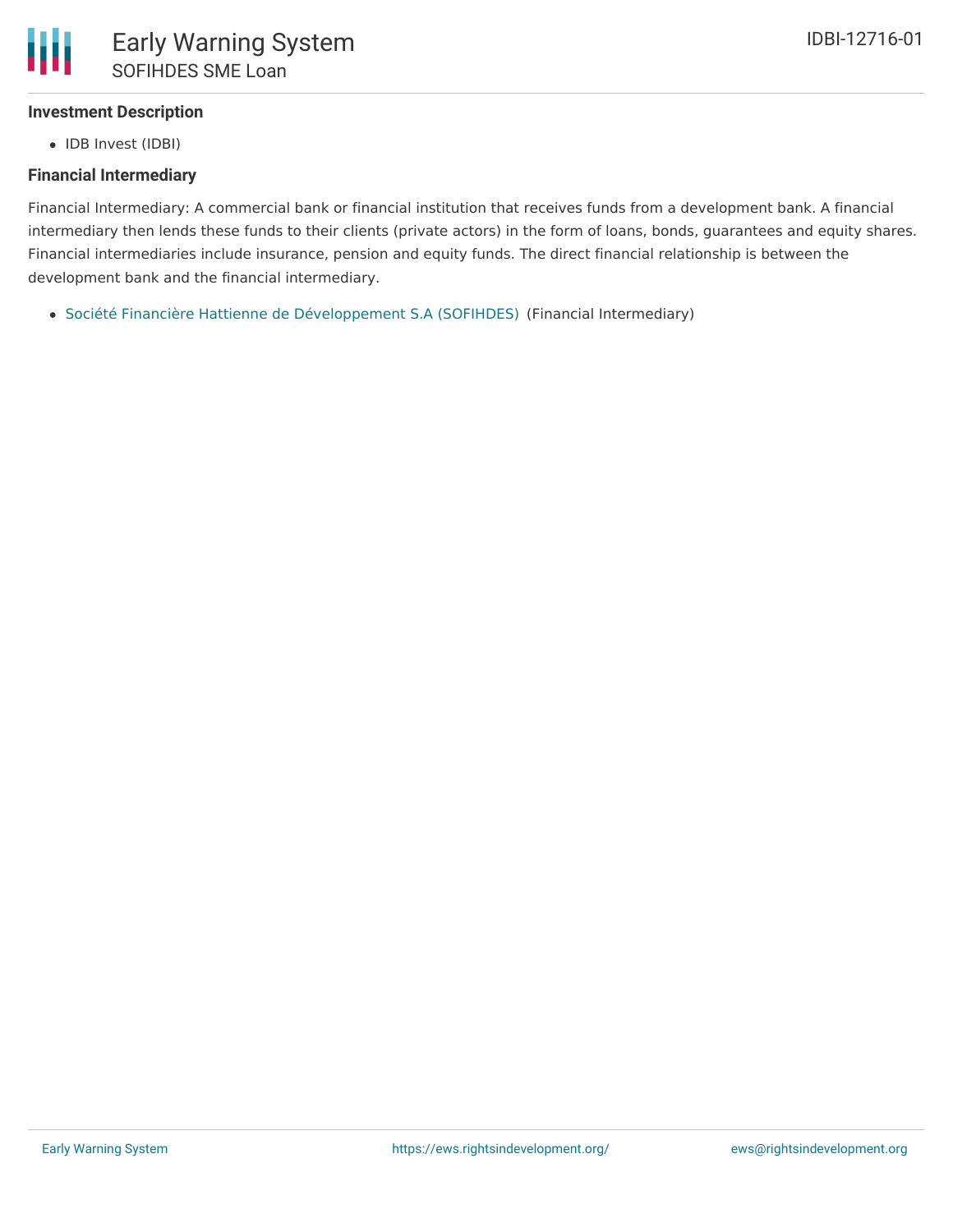# **Investment Description**

• IDB Invest (IDBI)

## **Financial Intermediary**

Financial Intermediary: A commercial bank or financial institution that receives funds from a development bank. A financial intermediary then lends these funds to their clients (private actors) in the form of loans, bonds, guarantees and equity shares. Financial intermediaries include insurance, pension and equity funds. The direct financial relationship is between the development bank and the financial intermediary.

Société Financière Hattienne de [Développement](file:///actor/3244/) S.A (SOFIHDES) (Financial Intermediary)